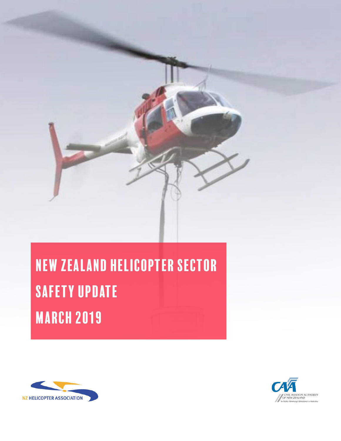

# New Zealand helicopter sector safety Update MARCH 2019



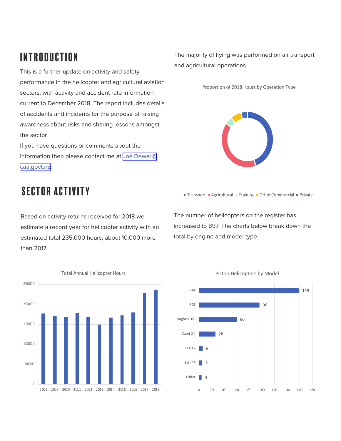# introduction

This is a further update on activity and safety performance in the helicopter and agricultural aviation sectors, with activity and accident rate information current to December 2018. The report includes details of accidents and incidents for the purpose of raising awareness about risks and sharing lessons amongst the sector.

If you have questions or comments about the information then please contact me at [Joe.Dewar@](mailto:Joe.Dewar%40caa.govt.nz?subject=NZ%20AAA%20Update) [caa.govt.nz.](mailto:Joe.Dewar%40caa.govt.nz?subject=NZ%20AAA%20Update)

The majority of flying was performed on air transport and agricultural operations.

Proportion of 2018 Hours by Operation Type



## sector activity

Based on activity returns received for 2018 we estimate a record year for helicopter activity with an estimated total 235,000 hours, about 10,000 more than 2017.

The number of helicopters on the register has increased to 897. The charts below break down the total by engine and model type.

Transport Agricultural Training Other Commercial Private



Piston Helicopters by Model

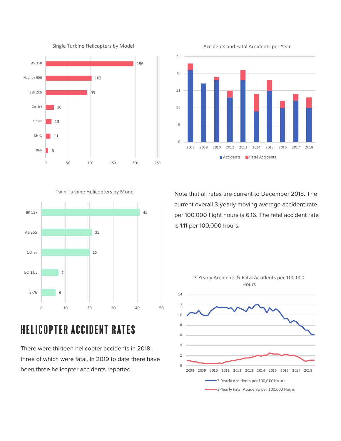

Single Turbine Helicopters by Model



Twin Turbine Helicopters by Model



# helicopter Accident Rates

There were thirteen helicopter accidents in 2018, three of which were fatal. In 2019 to date there have been three helicopter accidents reported.

Note that all rates are current to December 2018. The current overall 3-yearly moving average accident rate per 100,000 flight hours is 6.16. The fatal accident rate is 1.11 per 100,000 hours.

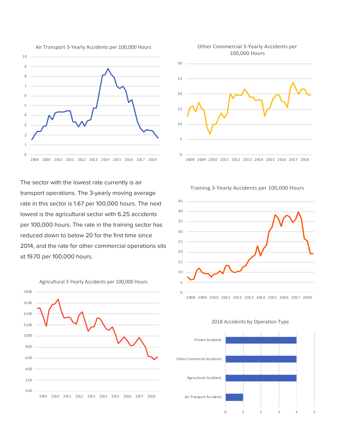



The sector with the lowest rate currently is air transport operations. The 3-yearly moving average rate in this sector is 1.67 per 100,000 hours. The next lowest is the agricultural sector with 6.25 accidents per 100,000 hours. The rate in the training sector has reduced down to below 20 for the first time since 2014, and the rate for other commercial operations sits at 19.70 per 100,000 hours.



Training 3-Yearly Accidents per 100,000 Hours





2018 Accidents by Operation Type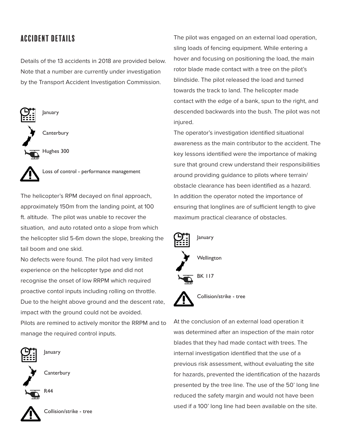## accident details

Details of the 13 accidents in 2018 are provided below. Note that a number are currently under investigation by the Transport Accident Investigation Commission.



The helicopter's RPM decayed on final approach, approximately 150m from the landing point, at 100 ft. altitude. The pilot was unable to recover the situation, and auto rotated onto a slope from which the helicopter slid 5-6m down the slope, breaking the tail boom and one skid.

No defects were found. The pilot had very limited experience on the helicopter type and did not recognise the onset of low RRPM which required proactive contol inputs including rolling on throttle. Due to the height above ground and the descent rate, impact with the ground could not be avoided. Pilots are remined to actively monitor the RRPM and to manage the required control inputs.



January

**Canterbury** 



Collision/strike - tree

The pilot was engaged on an external load operation, sling loads of fencing equipment. While entering a hover and focusing on positioning the load, the main rotor blade made contact with a tree on the pilot's blindside. The pilot released the load and turned towards the track to land. The helicopter made contact with the edge of a bank, spun to the right, and descended backwards into the bush. The pilot was not injured.

The operator's investigation identified situational awareness as the main contributor to the accident. The key lessons identified were the importance of making sure that ground crew understand their responsibilities around providing guidance to pilots where terrain/ obstacle clearance has been identified as a hazard. In addition the operator noted the importance of ensuring that longlines are of sufficient length to give maximum practical clearance of obstacles.



Collision/strike - tree

At the conclusion of an external load operation it was determined after an inspection of the main rotor blades that they had made contact with trees. The internal investigation identified that the use of a previous risk assessment, without evaluating the site for hazards, prevented the identification of the hazards presented by the tree line. The use of the 50' long line reduced the safety margin and would not have been used if a 100' long line had been available on the site.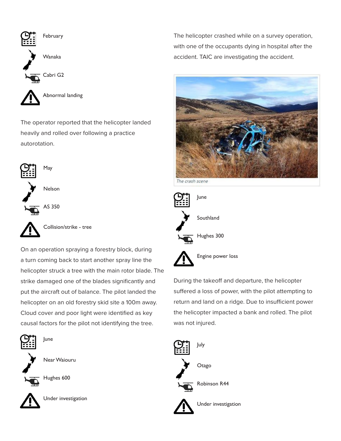

The operator reported that the helicopter landed heavily and rolled over following a practice autorotation.



Collision/strike - tree

On an operation spraying a forestry block, during a turn coming back to start another spray line the helicopter struck a tree with the main rotor blade. The strike damaged one of the blades significantly and put the aircraft out of balance. The pilot landed the helicopter on an old forestry skid site a 100m away. Cloud cover and poor light were identified as key causal factors for the pilot not identifying the tree.



Near Waiouru



Hughes 600

June



Under investigation

The helicopter crashed while on a survey operation, with one of the occupants dying in hospital after the accident. TAIC are investigating the accident.



June Southland Hughes 300 Engine power loss

During the takeoff and departure, the helicopter suffered a loss of power, with the pilot attempting to return and land on a ridge. Due to insufficient power the helicopter impacted a bank and rolled. The pilot was not injured.

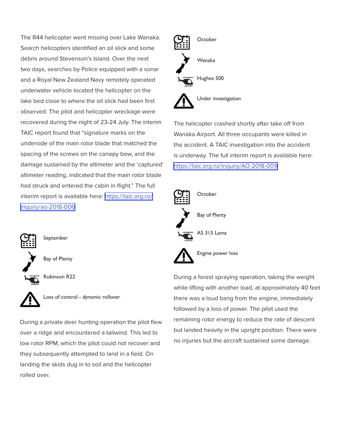The R44 helicopter went missing over Lake Wanaka. Search helicopters identified an oil slick and some debris around Stevenson's Island. Over the next two days, searches by Police equipped with a sonar and a Royal New Zealand Navy remotely operated underwater vehicle located the helicopter on the lake bed close to where the oil slick had been first observed. The pilot and helicopter wreckage were recovered during the night of 23-24 July. The interim TAIC report found that "signature marks on the underside of the main rotor blade that matched the spacing of the screws on the canopy bow, and the damage sustained by the altimeter and the 'captured' altimeter reading, indicated that the main rotor blade had struck and entered the cabin in flight." The full interim report is available here: [https://taic.org.nz/](https://taic.org.nz/inquiry/ao-2018-006) [inquiry/ao-2018-006](https://taic.org.nz/inquiry/ao-2018-006)



September

Bay of Plenty



Robinson R22



During a private deer hunting operation the pilot flew over a ridge and encountered a tailwind. This led to low rotor RPM, which the pilot could not recover and they subsequently attempted to land in a field. On landing the skids dug in to soil and the helicopter rolled over.



The helicopter crashed shortly after take off from Wanaka Airport. All three occupants were killed in the accident. A TAIC investigation into the accident is underway. The full interim report is available here: <https://taic.org.nz/inquiry/AO-2018-009>



During a forest spraying operation, taking the weight while lifting with another load, at approximately 40 feet there was a loud bang from the engine, immediately followed by a loss of power. The pilot used the remaining rotor energy to reduce the rate of descent but landed heavily in the upright position. There were no injuries but the aircraft sustained some damage.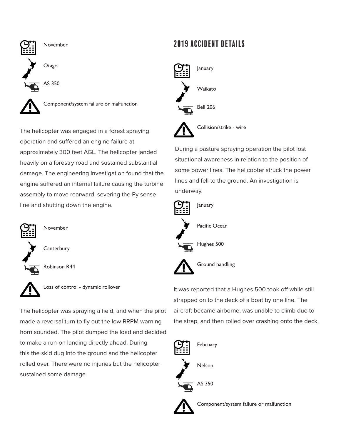

Component/system failure or malfunction

The helicopter was engaged in a forest spraying operation and suffered an engine failure at approximately 300 feet AGL. The helicopter landed heavily on a forestry road and sustained substantial damage. The engineering investigation found that the engine suffered an internal failure causing the turbine assembly to move rearward, severing the Py sense line and shutting down the engine.



November

**Canterbury** 

Robinson R44



Loss of control - dynamic rollover

The helicopter was spraying a field, and when the pilot made a reversal turn to fly out the low RRPM warning horn sounded. The pilot dumped the load and decided to make a run-on landing directly ahead. During this the skid dug into the ground and the helicopter rolled over. There were no injuries but the helicopter sustained some damage.

## 2019 accident details



Bell 206



During a pasture spraying operation the pilot lost situational awareness in relation to the position of some power lines. The helicopter struck the power lines and fell to the ground. An investigation is underway.



It was reported that a Hughes 500 took off while still strapped on to the deck of a boat by one line. The aircraft became airborne, was unable to climb due to the strap, and then rolled over crashing onto the deck.



Component/system failure or malfunction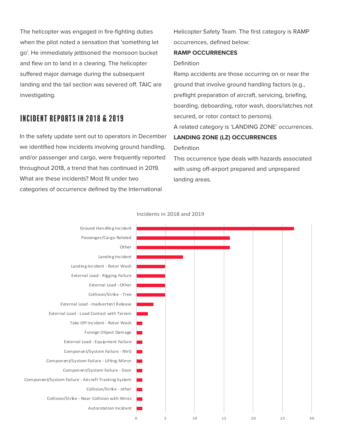The helicopter was engaged in fire-fighting duties when the pilot noted a sensation that 'something let go'. He immediately jettisoned the monsoon bucket and flew on to land in a clearing. The helicopter suffered major damage during the subsequent landing and the tail section was severed off. TAIC are investigating.

### Incident reports in 2018 & 2019

In the safety update sent out to operators in December we identified how incidents involving ground handling, and/or passenger and cargo, were frequently reported throughout 2018, a trend that has continued in 2019. What are these incidents? Most fit under two categories of occurrence defined by the International

Helicopter Safety Team. The first category is RAMP occurrences, defined below:

#### **RAMP OCCURRENCES**

#### Definition

Ramp accidents are those occurring on or near the ground that involve ground handling factors (e.g., preflight preparation of aircraft, servicing, briefing, boarding, deboarding, rotor wash, doors/latches not secured, or rotor contact to persons). A related category is 'LANDING ZONE' occurrences. **LANDING ZONE (LZ) OCCURRENCES** 

#### Definition

This occurrence type deals with hazards associated with using off-airport prepared and unprepared landing areas.



Incidents in 2018 and 2019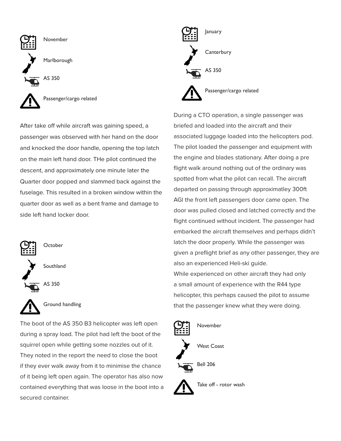

After take off while aircraft was gaining speed, a passenger was observed with her hand on the door and knocked the door handle, opening the top latch on the main left hand door. THe pilot continued the descent, and approximately one minute later the Quarter door popped and slammed back against the fuselage. This resulted in a broken window within the quarter door as well as a bent frame and damage to side left hand locker door.



**October** 

Southland





Ground handling

The boot of the AS 350 B3 helicopter was left open during a spray load. The pilot had left the boot of the squirrel open while getting some nozzles out of it. They noted in the report the need to close the boot if they ever walk away from it to minimise the chance of it being left open again. The operator has also now contained everything that was loose in the boot into a secured container.



During a CTO operation, a single passenger was briefed and loaded into the aircraft and their associated luggage loaded into the helicopters pod. The pilot loaded the passenger and equipment with the engine and blades stationary. After doing a pre flight walk around nothing out of the ordinary was spotted from what the pilot can recall. The aircraft departed on passing through approximatley 300ft AGl the front left passengers door came open. The door was pulled closed and latched correctly and the flight continued without incident. The passenger had embarked the aircraft themselves and perhaps didn't latch the door properly. While the passenger was given a preflight brief as any other passenger, they are also an experienced Heli-ski guide. While experienced on other aircraft they had only a small amount of experience with the R44 type helicopter, this perhaps caused the pilot to assume that the passenger knew what they were doing.



Take off - rotor wash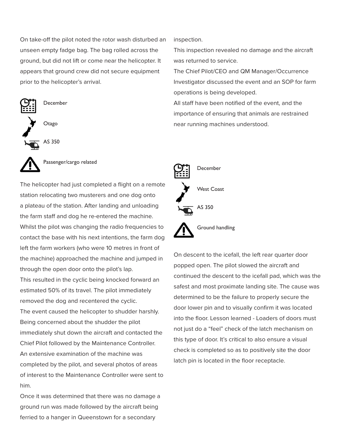On take-off the pilot noted the rotor wash disturbed an unseen empty fadge bag. The bag rolled across the ground, but did not lift or come near the helicopter. It appears that ground crew did not secure equipment prior to the helicopter's arrival.



Passenger/cargo related

The helicopter had just completed a flight on a remote station relocating two musterers and one dog onto a plateau of the station. After landing and unloading the farm staff and dog he re-entered the machine. Whilst the pilot was changing the radio frequencies to contact the base with his next intentions, the farm dog left the farm workers (who were 10 metres in front of the machine) approached the machine and jumped in through the open door onto the pilot's lap.

This resulted in the cyclic being knocked forward an estimated 50% of its travel. The pilot immediately removed the dog and recentered the cyclic.

The event caused the helicopter to shudder harshly. Being concerned about the shudder the pilot immediately shut down the aircraft and contacted the Chief Pilot followed by the Maintenance Controller. An extensive examination of the machine was completed by the pilot, and several photos of areas of interest to the Maintenance Controller were sent to him.

Once it was determined that there was no damage a ground run was made followed by the aircraft being ferried to a hanger in Queenstown for a secondary

inspection.

This inspection revealed no damage and the aircraft was returned to service.

The Chief Pilot/CEO and QM Manager/Occurrence Investigator discussed the event and an SOP for farm operations is being developed.

All staff have been notified of the event, and the importance of ensuring that animals are restrained near running machines understood.



On descent to the icefall, the left rear quarter door popped open. The pilot slowed the aircraft and continued the descent to the icefall pad, which was the safest and most proximate landing site. The cause was determined to be the failure to properly secure the door lower pin and to visually confirm it was located into the floor. Lesson learned - Loaders of doors must not just do a "feel" check of the latch mechanism on this type of door. It's critical to also ensure a visual check is completed so as to positively site the door latch pin is located in the floor receptacle.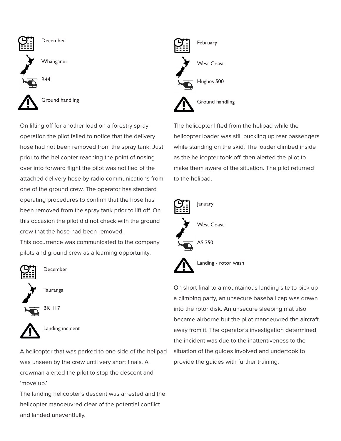

On lifting off for another load on a forestry spray operation the pilot failed to notice that the delivery hose had not been removed from the spray tank. Just prior to the helicopter reaching the point of nosing over into forward flight the pilot was notified of the attached delivery hose by radio communications from one of the ground crew. The operator has standard operating procedures to confirm that the hose has been removed from the spray tank prior to lift off. On this occasion the pilot did not check with the ground crew that the hose had been removed.

This occurrence was communicated to the company pilots and ground crew as a learning opportunity.



December





A helicopter that was parked to one side of the helipad was unseen by the crew until very short finals. A crewman alerted the pilot to stop the descent and 'move up.'

The landing helicopter's descent was arrested and the helicopter manoeuvred clear of the potential conflict and landed uneventfully.



The helicopter lifted from the helipad while the helicopter loader was still buckling up rear passengers while standing on the skid. The loader climbed inside as the helicopter took off, then alerted the pilot to make them aware of the situation. The pilot returned to the helipad.



On short final to a mountainous landing site to pick up a climbing party, an unsecure baseball cap was drawn into the rotor disk. An unsecure sleeping mat also became airborne but the pilot manoeuvred the aircraft away from it. The operator's investigation determined the incident was due to the inattentiveness to the situation of the guides involved and undertook to provide the guides with further training.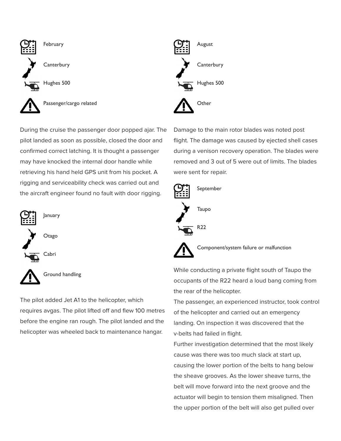

During the cruise the passenger door popped ajar. The pilot landed as soon as possible, closed the door and confirmed correct latching. It is thought a passenger may have knocked the internal door handle while retrieving his hand held GPS unit from his pocket. A rigging and serviceability check was carried out and the aircraft engineer found no fault with door rigging.



Ground handling

The pilot added Jet A1 to the helicopter, which requires avgas. The pilot lifted off and flew 100 metres before the engine ran rough. The pilot landed and the helicopter was wheeled back to maintenance hangar.

August **Canterbury** Hughes 500 **Other** 

Damage to the main rotor blades was noted post flight. The damage was caused by ejected shell cases during a venison recovery operation. The blades were removed and 3 out of 5 were out of limits. The blades were sent for repair.



Component/system failure or malfunction

While conducting a private flight south of Taupo the occupants of the R22 heard a loud bang coming from the rear of the helicopter.

The passenger, an experienced instructor, took control of the helicopter and carried out an emergency landing. On inspection it was discovered that the v-belts had failed in flight.

Further investigation determined that the most likely cause was there was too much slack at start up, causing the lower portion of the belts to hang below the sheave grooves. As the lower sheave turns, the belt will move forward into the next groove and the actuator will begin to tension them misaligned. Then the upper portion of the belt will also get pulled over